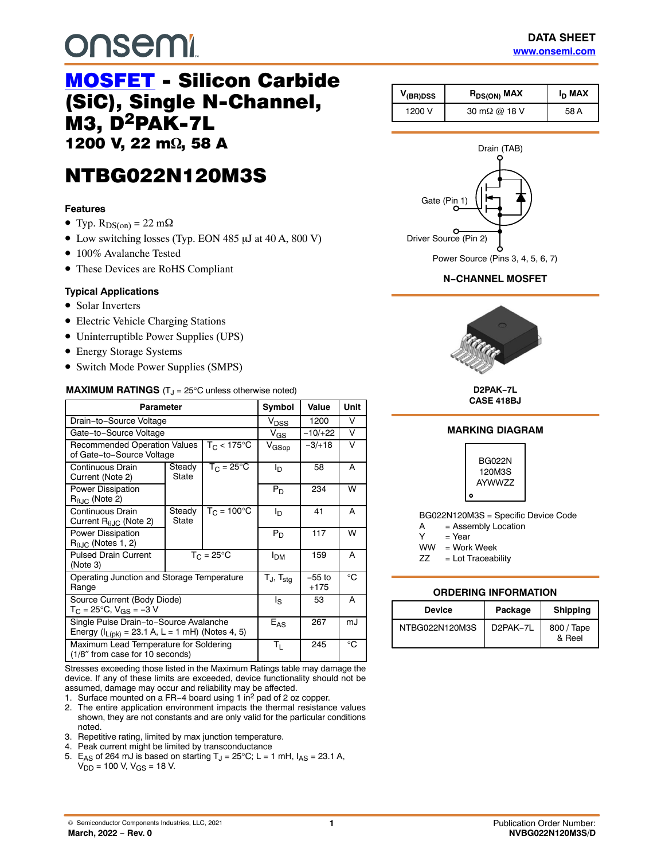# **onsemi**

## [MOSFET](https://www.onsemi.com/products/discretes-drivers/mosfets) - Silicon Carbide (SiC), Single N-Channel, M3, D2PAK-7L 1200 V, 22 m<sup>2</sup>, 58 A

# NTBG022N120M3S

#### **Features**

- Typ.  $R_{DS(on)} = 22 \text{ m}\Omega$
- Low switching losses (Typ. EON 485  $\mu$ J at 40 A, 800 V)
- 100% Avalanche Tested
- These Devices are RoHS Compliant

#### **Typical Applications**

- Solar Inverters
- Electric Vehicle Charging Stations
- Uninterruptible Power Supplies (UPS)
- Energy Storage Systems
- Switch Mode Power Supplies (SMPS)

#### **MAXIMUM RATINGS**  $(T<sub>J</sub> = 25^{\circ}C$  unless otherwise noted)

| Parameter                                                                                        | Symbol          | Value                | <b>Unit</b>            |                    |    |
|--------------------------------------------------------------------------------------------------|-----------------|----------------------|------------------------|--------------------|----|
| Drain-to-Source Voltage                                                                          |                 |                      | V <sub>DSS</sub>       | 1200               | v  |
| Gate-to-Source Voltage                                                                           |                 |                      | $V_{GS}$               | $-10/+22$          | V  |
| <b>Recommended Operation Values</b><br>of Gate-to-Source Voltage                                 |                 | $T_C < 175$ °C       | V <sub>GSop</sub>      | $-3/18$            | V  |
| Continuous Drain<br>Current (Note 2)                                                             | Steady<br>State | $T_C = 25^{\circ}C$  | I <sub>D</sub>         | 58                 | A  |
| <b>Power Dissipation</b><br>$R_{\theta,IC}$ (Note 2)                                             |                 |                      | $P_D$                  | 234                | W  |
| Continuous Drain<br>Current $R_{\theta,IC}$ (Note 2)                                             | Steady<br>State | $T_C = 100^{\circ}C$ | I <sub>D</sub>         | 41                 | A  |
| <b>Power Dissipation</b><br>$R_{0,IC}$ (Notes 1, 2)                                              |                 |                      | P <sub>D</sub>         | 117                | W  |
| <b>Pulsed Drain Current</b><br>(Note 3)                                                          |                 | $T_C = 25^{\circ}C$  | <b>I</b> <sub>DM</sub> | 159                | A  |
| Operating Junction and Storage Temperature<br>Range                                              |                 |                      | $T_J$ , $T_{stg}$      | $-55$ to<br>$+175$ | °C |
| Source Current (Body Diode)<br>$T_C = 25^{\circ}C$ , $V_{GS} = -3 V$                             |                 |                      | ls                     | 53                 | A  |
| Single Pulse Drain-to-Source Avalanche<br>Energy ( $I_{L(pk)} = 23.1 A$ , L = 1 mH) (Notes 4, 5) |                 |                      | $E_{AS}$               | 267                | mJ |
| Maximum Lead Temperature for Soldering<br>(1/8" from case for 10 seconds)                        | Τı.             | 245                  | °C                     |                    |    |

Stresses exceeding those listed in the Maximum Ratings table may damage the device. If any of these limits are exceeded, device functionality should not be assumed, damage may occur and reliability may be affected.

1. Surface mounted on a FR−4 board using 1 in2 pad of 2 oz copper.

- 2. The entire application environment impacts the thermal resistance values shown, they are not constants and are only valid for the particular conditions noted.
- 3. Repetitive rating, limited by max junction temperature.
- 4. Peak current might be limited by transconductance
- 5. E<sub>AS</sub> of 264 mJ is based on starting T<sub>J</sub> = 25°C; L = 1 mH,  $I_{AS}$  = 23.1 A,  $V_{DD}$  = 100 V, V<sub>GS</sub> = 18 V.

| V <sub>(BR)DSS</sub> |        | $R_{DS(ON)}$ MAX     | I <sub>D</sub> MAX |  |
|----------------------|--------|----------------------|--------------------|--|
|                      | 1200 V | 30 m $\Omega$ @ 18 V | 58 A               |  |



#### **N−CHANNEL MOSFET**



**D2PAK−7L CASE 418BJ**

#### **MARKING DIAGRAM**



BG022N120M3S = Specific Device Code

- $A =$  Assembly Location<br>  $Y =$  Year
- $=$  Year
- WW = Work Week
- $ZZ = Lot Traceability$

#### **ORDERING INFORMATION**

| Device         | Package               | <b>Shipping</b>      |  |
|----------------|-----------------------|----------------------|--|
| NTBG022N120M3S | D <sub>2</sub> PAK-7L | 800 / Tape<br>& Reel |  |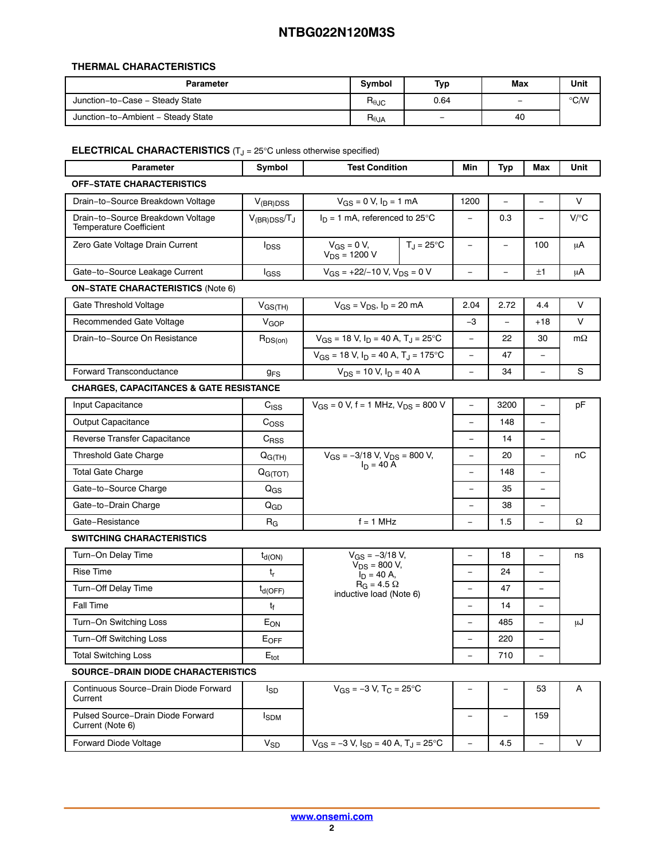#### **THERMAL CHARACTERISTICS**

| <b>Parameter</b>                   |                 | Typ                      | Max                      | Unit |
|------------------------------------|-----------------|--------------------------|--------------------------|------|
| Junction-to-Case - Steady State    |                 | 0.64                     | $\overline{\phantom{0}}$ | ℃⁄W  |
| Junction-to-Ambient - Steady State | $R_{\theta JA}$ | $\overline{\phantom{m}}$ | 40                       |      |

#### **ELECTRICAL CHARACTERISTICS** (T<sub>J</sub> = 25°C unless otherwise specified)

| <b>Parameter</b>                                                    | Symbol                  | <b>Test Condition</b>                                                  | Min                      | Typ                      | Max                      | Unit      |  |
|---------------------------------------------------------------------|-------------------------|------------------------------------------------------------------------|--------------------------|--------------------------|--------------------------|-----------|--|
| <b>OFF-STATE CHARACTERISTICS</b>                                    |                         |                                                                        |                          |                          |                          |           |  |
| Drain-to-Source Breakdown Voltage                                   | $V_{(BR)DSS}$           | $V_{GS} = 0$ V, $I_D = 1$ mA                                           | 1200                     |                          |                          | V         |  |
| Drain-to-Source Breakdown Voltage<br><b>Temperature Coefficient</b> | $V_{(BR)DSS}/T_J$       | $I_D = 1$ mA, referenced to 25°C                                       |                          | 0.3                      |                          | $V$ / $C$ |  |
| Zero Gate Voltage Drain Current                                     | <b>I</b> <sub>DSS</sub> | $V_{GS} = 0 V$ ,<br>$T_{\text{J}} = 25^{\circ}$ C<br>$V_{DS} = 1200 V$ | $\overline{\phantom{m}}$ | $\overline{\phantom{0}}$ | 100                      | μA        |  |
| Gate-to-Source Leakage Current                                      | l <sub>GSS</sub>        | $V_{GS}$ = +22/-10 V, $V_{DS}$ = 0 V                                   | $\overline{\phantom{0}}$ |                          | ±1                       | μA        |  |
| <b>ON-STATE CHARACTERISTICS (Note 6)</b>                            |                         |                                                                        |                          |                          |                          |           |  |
| Gate Threshold Voltage                                              | $V_{GS(TH)}$            | $V_{GS} = V_{DS}$ , $I_D = 20$ mA                                      | 2.04                     | 2.72                     | 4.4                      | V         |  |
| Recommended Gate Voltage                                            | V <sub>GOP</sub>        |                                                                        | $-3$                     | $\equiv$                 | $+18$                    | $\vee$    |  |
| Drain-to-Source On Resistance                                       | $R_{DS(on)}$            | $V_{GS}$ = 18 V, $I_D$ = 40 A, T <sub>J</sub> = 25°C                   | $\overline{\phantom{0}}$ | 22                       | 30                       | $m\Omega$ |  |
|                                                                     |                         | $V_{GS}$ = 18 V, $I_D$ = 40 A, T <sub>J</sub> = 175°C                  | $\overline{\phantom{0}}$ | 47                       | $\overline{\phantom{a}}$ |           |  |
| <b>Forward Transconductance</b>                                     | <b>g<sub>FS</sub></b>   | $V_{DS}$ = 10 V, $I_D$ = 40 A                                          | $\equiv$                 | 34                       | $\equiv$                 | S         |  |
| <b>CHARGES, CAPACITANCES &amp; GATE RESISTANCE</b>                  |                         |                                                                        |                          |                          |                          |           |  |
| Input Capacitance                                                   | $C_{\text{ISS}}$        | $V_{GS}$ = 0 V, f = 1 MHz, $V_{DS}$ = 800 V                            | $\equiv$                 | 3200                     | $\equiv$                 | pF        |  |
| <b>Output Capacitance</b>                                           | C <sub>OSS</sub>        |                                                                        | $\overline{\phantom{0}}$ | 148                      | $\overline{\phantom{0}}$ |           |  |
| Reverse Transfer Capacitance                                        | $C_{RSS}$               |                                                                        | $\overline{\phantom{0}}$ | 14                       | $\overline{\phantom{0}}$ |           |  |
| <b>Threshold Gate Charge</b>                                        | $Q_{G(TH)}$             | $V_{GS} = -3/18$ V, $V_{DS} = 800$ V,                                  | $\overline{\phantom{0}}$ | 20                       | $\overline{\phantom{a}}$ | пC        |  |
| <b>Total Gate Charge</b>                                            | Q <sub>G(TOT)</sub>     | $I_D = 40 \text{ Å}$                                                   |                          | 148                      |                          |           |  |
| Gate-to-Source Charge                                               | ${\sf Q}_{\rm GS}$      |                                                                        |                          | 35                       | $\overline{\phantom{a}}$ |           |  |
| Gate-to-Drain Charge                                                | $Q_{GD}$                |                                                                        | $\overline{\phantom{0}}$ | 38                       |                          |           |  |
| Gate-Resistance                                                     | $R_G$                   | $f = 1$ MHz                                                            | $\overline{\phantom{0}}$ | 1.5                      |                          | Ω         |  |
| <b>SWITCHING CHARACTERISTICS</b>                                    |                         |                                                                        |                          |                          |                          |           |  |
| Turn-On Delay Time                                                  | $t_{d(ON)}$             | $V_{GS} = -3/18 V$ ,                                                   | $\equiv$                 | 18                       | $\overline{\phantom{0}}$ | ns        |  |
| <b>Rise Time</b>                                                    | t <sub>r</sub>          | $V_{DS}$ = 800 V,<br>$I_D = 40 A,$                                     | $\overline{\phantom{0}}$ | 24                       | -                        |           |  |
| Turn-Off Delay Time                                                 | $t_{d(OFF)}$            | $R_G = 4.5 \Omega$<br>inductive load (Note 6)                          | $\overline{\phantom{0}}$ | 47                       |                          |           |  |
| <b>Fall Time</b>                                                    | $t_f$                   |                                                                        | $\overline{\phantom{0}}$ | 14                       | $\overline{\phantom{0}}$ |           |  |
| Turn-On Switching Loss                                              | E <sub>ON</sub>         |                                                                        |                          | 485                      |                          | μJ        |  |
| Turn-Off Switching Loss                                             | E <sub>OFF</sub>        |                                                                        |                          | 220                      |                          |           |  |
| <b>Total Switching Loss</b>                                         | $E_{\text{tot}}$        |                                                                        | $\overline{\phantom{0}}$ | 710                      |                          |           |  |
| <b>SOURCE-DRAIN DIODE CHARACTERISTICS</b>                           |                         |                                                                        |                          |                          |                          |           |  |
| Continuous Source-Drain Diode Forward<br>Current                    | $I_{SD}$                | $V_{GS} = -3 V$ , T <sub>C</sub> = 25°C                                | $\overline{\phantom{0}}$ | $\equiv$                 | 53                       | Α         |  |
| Pulsed Source-Drain Diode Forward<br>Current (Note 6)               | <b>I</b> <sub>SDM</sub> |                                                                        | $\qquad \qquad -$        |                          | 159                      |           |  |
| Forward Diode Voltage                                               | $V_{SD}$                | $V_{GS} = -3 V$ , $I_{SD} = 40 A$ , $T_J = 25$ °C                      | $\overline{\phantom{a}}$ | 4.5                      | $\overline{\phantom{a}}$ | V         |  |
|                                                                     |                         |                                                                        |                          |                          |                          |           |  |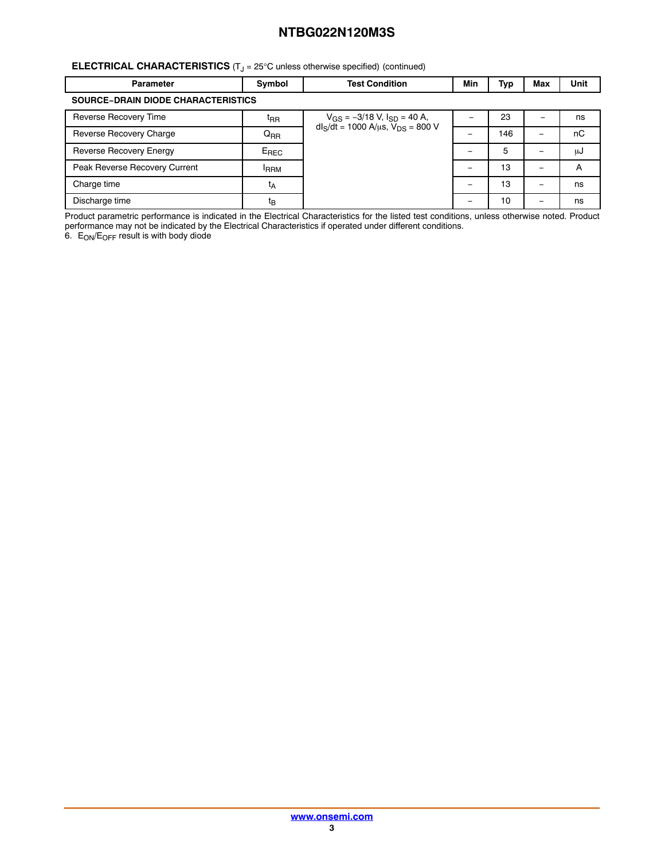#### <span id="page-2-0"></span>**ELECTRICAL CHARACTERISTICS** (T<sub>J</sub> = 25°C unless otherwise specified) (continued)

| <b>Parameter</b>                          | Symbol          | <b>Test Condition</b>                                                               | Min | Тур | <b>Max</b> | Unit |  |  |  |
|-------------------------------------------|-----------------|-------------------------------------------------------------------------------------|-----|-----|------------|------|--|--|--|
| <b>SOURCE-DRAIN DIODE CHARACTERISTICS</b> |                 |                                                                                     |     |     |            |      |  |  |  |
| Reverse Recovery Time                     | t <sub>RR</sub> | $V_{GS} = -3/18$ V, $I_{SD} = 40$ A,<br>$dI_S/dt = 1000 A/\mu s$ , $V_{DS} = 800 V$ |     | 23  | -          | ns   |  |  |  |
| Reverse Recovery Charge                   | $Q_{RR}$        |                                                                                     |     | 146 |            | nC   |  |  |  |
| Reverse Recovery Energy                   | $E_{REC}$       |                                                                                     |     | 5   |            | աժ   |  |  |  |
| Peak Reverse Recovery Current             | <b>FRRM</b>     |                                                                                     |     | 13  |            | A    |  |  |  |
| Charge time                               | t <sub>Α</sub>  |                                                                                     |     | 13  | -          | ns   |  |  |  |
| Discharge time                            | t <sub>B</sub>  |                                                                                     |     | 10  |            | ns   |  |  |  |

Product parametric performance is indicated in the Electrical Characteristics for the listed test conditions, unless otherwise noted. Product performance may not be indicated by the Electrical Characteristics if operated under different conditions.

6.  $\, {\sf E_{ON}/E_{OFF}}$  result is with body diode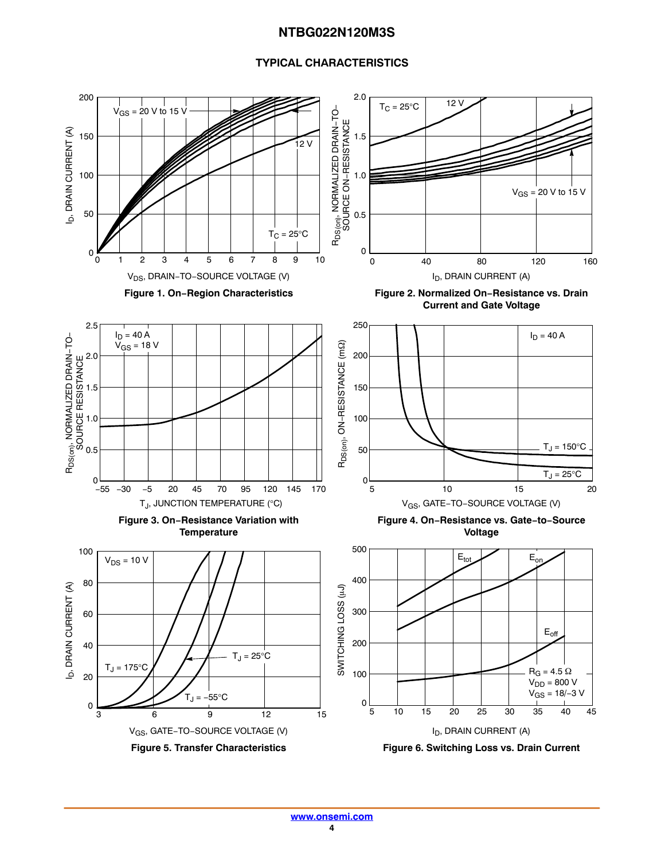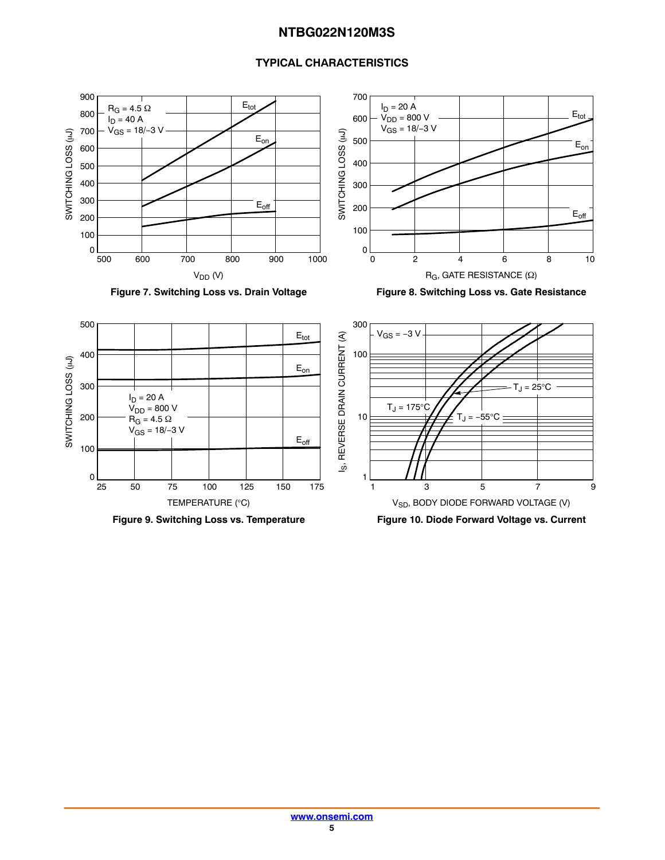









Figure 9. Switching Loss vs. Temperature **Figure 10. Diode Forward Voltage vs. Current**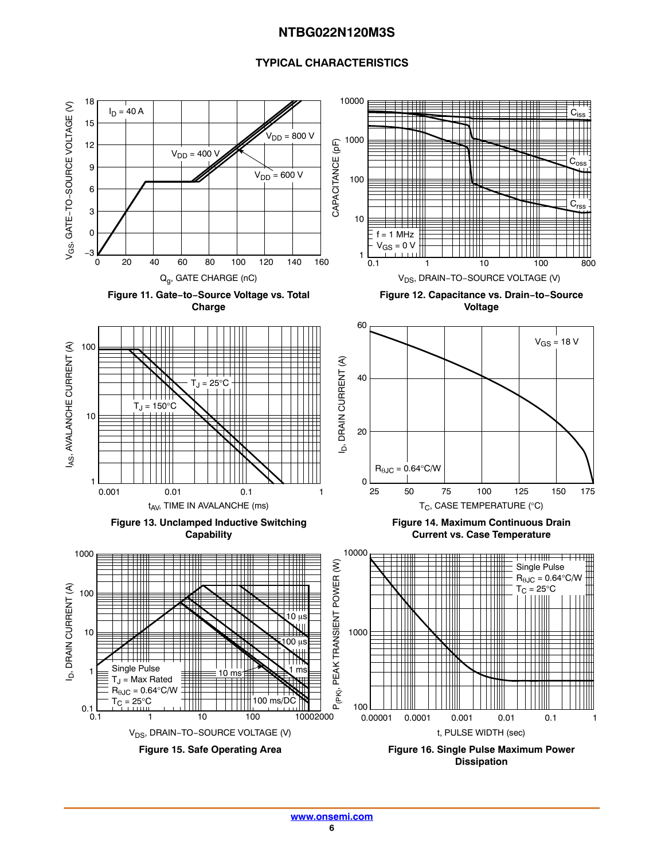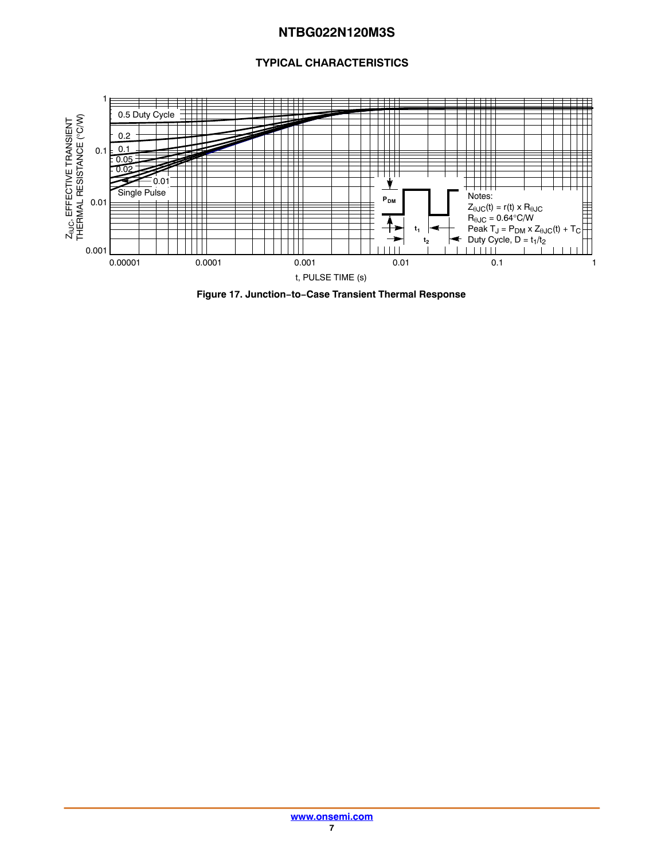

**Figure 17. Junction−to−Case Transient Thermal Response**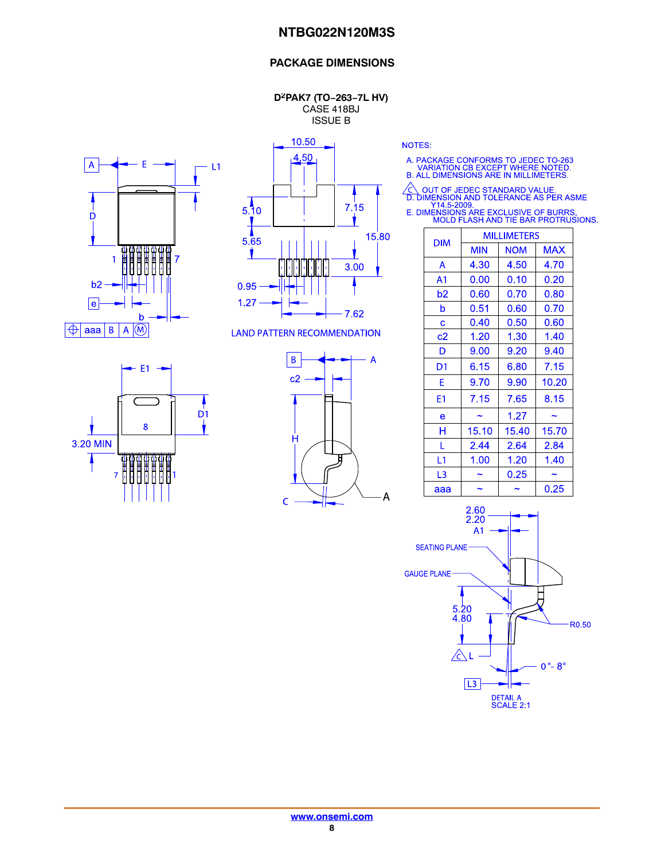#### **PACKAGE DIMENSIONS**

**D2PAK7 (TO−263−7L HV)** CASE 418BJ ISSUE B





10.50

**LAND PATTERN RECOMMENDATION** 





NOTES:

- A. PACKAGE CONFORMS TO JEDEC TO-263<br>VARIATION CB EXCEPT WHERE NOTED.<br>B. ALL DIMENSIONS ARE IN MILLIMETERS.
	-
- ◯ OUT OF JEDEC STANDARD VALUE.<br>
D. DIMENSION AND TOLERANCE AS PER ASME<br>
Y14.5-2009.<br>
E. DIMENSIONS ARE EXCLUSIVE OF BURRS.

|  | MOLD FLASH AND TIE BAR PROTRUSIONS. |              |  |
|--|-------------------------------------|--------------|--|
|  |                                     | .  . <b></b> |  |

| <b>DIM</b>     | MILLIMETERS |            |            |  |  |  |
|----------------|-------------|------------|------------|--|--|--|
|                | <b>MIN</b>  | <b>NOM</b> | <b>MAX</b> |  |  |  |
| A              | 4.30        | 4.50       | 4.70       |  |  |  |
| A <sub>1</sub> | 0.00        | 0.10       | 0.20       |  |  |  |
| b2             | 0.60        | 0.70       | 0.80       |  |  |  |
| b              | 0.51        | 0.60       | 0.70       |  |  |  |
| C              | 0.40        | 0.50       | 0.60       |  |  |  |
| c2             | 1.20        | 1.30       | 1.40       |  |  |  |
| D              | 9.00        | 9.20       | 9.40       |  |  |  |
| D1             | 6.15        | 6.80       | 7.15       |  |  |  |
| E              | 9.70        | 9.90       | 10.20      |  |  |  |
| E1             | 7.15        | 7.65       | 8.15       |  |  |  |
| e              |             | 1.27       |            |  |  |  |
| н              | 15.10       | 15.40      | 15.70      |  |  |  |
| L              | 2.44        | 2.64       | 2.84       |  |  |  |
| L <sub>1</sub> | 1.00        | 1.20       | 1.40       |  |  |  |
| L3             |             | 0.25       |            |  |  |  |
| aaa            |             |            | 0.25       |  |  |  |